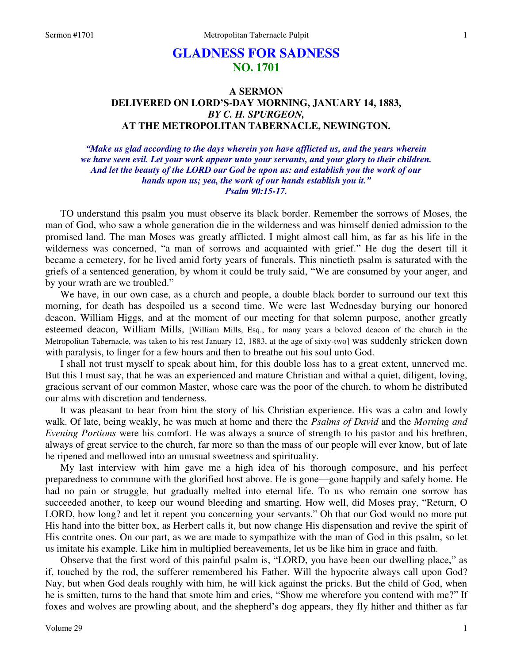# **GLADNESS FOR SADNESS NO. 1701**

# **A SERMON DELIVERED ON LORD'S-DAY MORNING, JANUARY 14, 1883,**  *BY C. H. SPURGEON,*  **AT THE METROPOLITAN TABERNACLE, NEWINGTON.**

*"Make us glad according to the days wherein you have afflicted us, and the years wherein we have seen evil. Let your work appear unto your servants, and your glory to their children. And let the beauty of the LORD our God be upon us: and establish you the work of our hands upon us; yea, the work of our hands establish you it." Psalm 90:15-17.* 

 TO understand this psalm you must observe its black border. Remember the sorrows of Moses, the man of God, who saw a whole generation die in the wilderness and was himself denied admission to the promised land. The man Moses was greatly afflicted. I might almost call him, as far as his life in the wilderness was concerned, "a man of sorrows and acquainted with grief." He dug the desert till it became a cemetery, for he lived amid forty years of funerals. This ninetieth psalm is saturated with the griefs of a sentenced generation, by whom it could be truly said, "We are consumed by your anger, and by your wrath are we troubled."

 We have, in our own case, as a church and people, a double black border to surround our text this morning, for death has despoiled us a second time. We were last Wednesday burying our honored deacon, William Higgs, and at the moment of our meeting for that solemn purpose, another greatly esteemed deacon, William Mills, [William Mills, Esq., for many years a beloved deacon of the church in the Metropolitan Tabernacle, was taken to his rest January 12, 1883, at the age of sixty-two] was suddenly stricken down with paralysis, to linger for a few hours and then to breathe out his soul unto God.

 I shall not trust myself to speak about him, for this double loss has to a great extent, unnerved me. But this I must say, that he was an experienced and mature Christian and withal a quiet, diligent, loving, gracious servant of our common Master, whose care was the poor of the church, to whom he distributed our alms with discretion and tenderness.

 It was pleasant to hear from him the story of his Christian experience. His was a calm and lowly walk. Of late, being weakly, he was much at home and there the *Psalms of David* and the *Morning and Evening Portions* were his comfort. He was always a source of strength to his pastor and his brethren, always of great service to the church, far more so than the mass of our people will ever know, but of late he ripened and mellowed into an unusual sweetness and spirituality.

 My last interview with him gave me a high idea of his thorough composure, and his perfect preparedness to commune with the glorified host above. He is gone—gone happily and safely home. He had no pain or struggle, but gradually melted into eternal life. To us who remain one sorrow has succeeded another, to keep our wound bleeding and smarting. How well, did Moses pray, "Return, O LORD, how long? and let it repent you concerning your servants." Oh that our God would no more put His hand into the bitter box, as Herbert calls it, but now change His dispensation and revive the spirit of His contrite ones. On our part, as we are made to sympathize with the man of God in this psalm, so let us imitate his example. Like him in multiplied bereavements, let us be like him in grace and faith.

 Observe that the first word of this painful psalm is, "LORD, you have been our dwelling place," as if, touched by the rod, the sufferer remembered his Father. Will the hypocrite always call upon God? Nay, but when God deals roughly with him, he will kick against the pricks. But the child of God, when he is smitten, turns to the hand that smote him and cries, "Show me wherefore you contend with me?" If foxes and wolves are prowling about, and the shepherd's dog appears, they fly hither and thither as far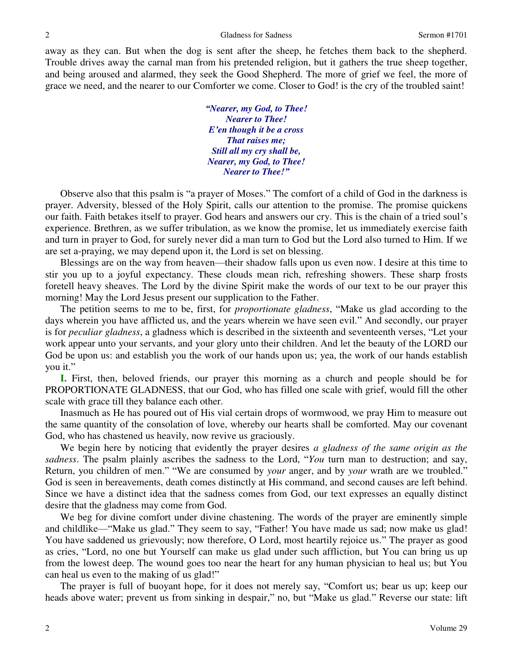away as they can. But when the dog is sent after the sheep, he fetches them back to the shepherd. Trouble drives away the carnal man from his pretended religion, but it gathers the true sheep together, and being aroused and alarmed, they seek the Good Shepherd. The more of grief we feel, the more of grace we need, and the nearer to our Comforter we come. Closer to God! is the cry of the troubled saint!

> *"Nearer, my God, to Thee! Nearer to Thee! E'en though it be a cross That raises me; Still all my cry shall be, Nearer, my God, to Thee! Nearer to Thee!"*

 Observe also that this psalm is "a prayer of Moses." The comfort of a child of God in the darkness is prayer. Adversity, blessed of the Holy Spirit, calls our attention to the promise. The promise quickens our faith. Faith betakes itself to prayer. God hears and answers our cry. This is the chain of a tried soul's experience. Brethren, as we suffer tribulation, as we know the promise, let us immediately exercise faith and turn in prayer to God, for surely never did a man turn to God but the Lord also turned to Him. If we are set a-praying, we may depend upon it, the Lord is set on blessing.

 Blessings are on the way from heaven—their shadow falls upon us even now. I desire at this time to stir you up to a joyful expectancy. These clouds mean rich, refreshing showers. These sharp frosts foretell heavy sheaves. The Lord by the divine Spirit make the words of our text to be our prayer this morning! May the Lord Jesus present our supplication to the Father.

 The petition seems to me to be, first, for *proportionate gladness*, "Make us glad according to the days wherein you have afflicted us, and the years wherein we have seen evil." And secondly, our prayer is for *peculiar gladness*, a gladness which is described in the sixteenth and seventeenth verses, "Let your work appear unto your servants, and your glory unto their children. And let the beauty of the LORD our God be upon us: and establish you the work of our hands upon us; yea, the work of our hands establish you it."

**I.** First, then, beloved friends, our prayer this morning as a church and people should be for PROPORTIONATE GLADNESS, that our God, who has filled one scale with grief, would fill the other scale with grace till they balance each other.

 Inasmuch as He has poured out of His vial certain drops of wormwood, we pray Him to measure out the same quantity of the consolation of love, whereby our hearts shall be comforted. May our covenant God, who has chastened us heavily, now revive us graciously.

 We begin here by noticing that evidently the prayer desires *a gladness of the same origin as the sadness*. The psalm plainly ascribes the sadness to the Lord, "*You* turn man to destruction; and say, Return, you children of men." "We are consumed by *your* anger, and by *your* wrath are we troubled." God is seen in bereavements, death comes distinctly at His command, and second causes are left behind. Since we have a distinct idea that the sadness comes from God, our text expresses an equally distinct desire that the gladness may come from God.

 We beg for divine comfort under divine chastening. The words of the prayer are eminently simple and childlike—"Make us glad." They seem to say, "Father! You have made us sad; now make us glad! You have saddened us grievously; now therefore, O Lord, most heartily rejoice us." The prayer as good as cries, "Lord, no one but Yourself can make us glad under such affliction, but You can bring us up from the lowest deep. The wound goes too near the heart for any human physician to heal us; but You can heal us even to the making of us glad!"

 The prayer is full of buoyant hope, for it does not merely say, "Comfort us; bear us up; keep our heads above water; prevent us from sinking in despair," no, but "Make us glad." Reverse our state: lift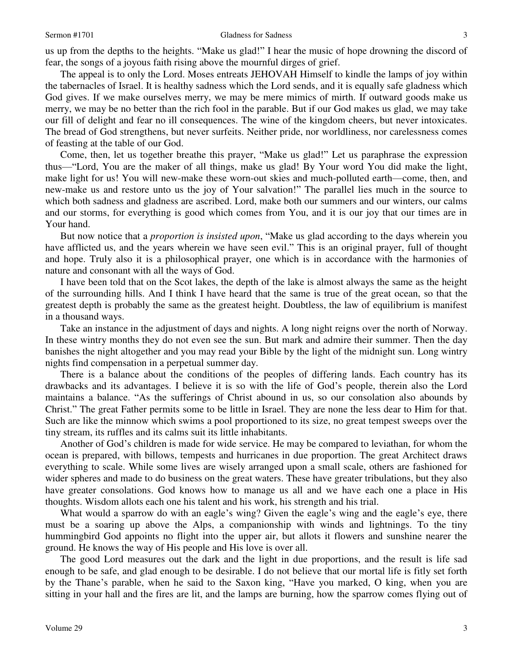us up from the depths to the heights. "Make us glad!" I hear the music of hope drowning the discord of fear, the songs of a joyous faith rising above the mournful dirges of grief.

 The appeal is to only the Lord. Moses entreats JEHOVAH Himself to kindle the lamps of joy within the tabernacles of Israel. It is healthy sadness which the Lord sends, and it is equally safe gladness which God gives. If we make ourselves merry, we may be mere mimics of mirth. If outward goods make us merry, we may be no better than the rich fool in the parable. But if our God makes us glad, we may take our fill of delight and fear no ill consequences. The wine of the kingdom cheers, but never intoxicates. The bread of God strengthens, but never surfeits. Neither pride, nor worldliness, nor carelessness comes of feasting at the table of our God.

 Come, then, let us together breathe this prayer, "Make us glad!" Let us paraphrase the expression thus—"Lord, You are the maker of all things, make us glad! By Your word You did make the light, make light for us! You will new-make these worn-out skies and much-polluted earth—come, then, and new-make us and restore unto us the joy of Your salvation!" The parallel lies much in the source to which both sadness and gladness are ascribed. Lord, make both our summers and our winters, our calms and our storms, for everything is good which comes from You, and it is our joy that our times are in Your hand.

 But now notice that a *proportion is insisted upon*, "Make us glad according to the days wherein you have afflicted us, and the years wherein we have seen evil." This is an original prayer, full of thought and hope. Truly also it is a philosophical prayer, one which is in accordance with the harmonies of nature and consonant with all the ways of God.

 I have been told that on the Scot lakes, the depth of the lake is almost always the same as the height of the surrounding hills. And I think I have heard that the same is true of the great ocean, so that the greatest depth is probably the same as the greatest height. Doubtless, the law of equilibrium is manifest in a thousand ways.

 Take an instance in the adjustment of days and nights. A long night reigns over the north of Norway. In these wintry months they do not even see the sun. But mark and admire their summer. Then the day banishes the night altogether and you may read your Bible by the light of the midnight sun. Long wintry nights find compensation in a perpetual summer day.

 There is a balance about the conditions of the peoples of differing lands. Each country has its drawbacks and its advantages. I believe it is so with the life of God's people, therein also the Lord maintains a balance. "As the sufferings of Christ abound in us, so our consolation also abounds by Christ." The great Father permits some to be little in Israel. They are none the less dear to Him for that. Such are like the minnow which swims a pool proportioned to its size, no great tempest sweeps over the tiny stream, its ruffles and its calms suit its little inhabitants.

 Another of God's children is made for wide service. He may be compared to leviathan, for whom the ocean is prepared, with billows, tempests and hurricanes in due proportion. The great Architect draws everything to scale. While some lives are wisely arranged upon a small scale, others are fashioned for wider spheres and made to do business on the great waters. These have greater tribulations, but they also have greater consolations. God knows how to manage us all and we have each one a place in His thoughts. Wisdom allots each one his talent and his work, his strength and his trial.

What would a sparrow do with an eagle's wing? Given the eagle's wing and the eagle's eye, there must be a soaring up above the Alps, a companionship with winds and lightnings. To the tiny hummingbird God appoints no flight into the upper air, but allots it flowers and sunshine nearer the ground. He knows the way of His people and His love is over all.

 The good Lord measures out the dark and the light in due proportions, and the result is life sad enough to be safe, and glad enough to be desirable. I do not believe that our mortal life is fitly set forth by the Thane's parable, when he said to the Saxon king, "Have you marked, O king, when you are sitting in your hall and the fires are lit, and the lamps are burning, how the sparrow comes flying out of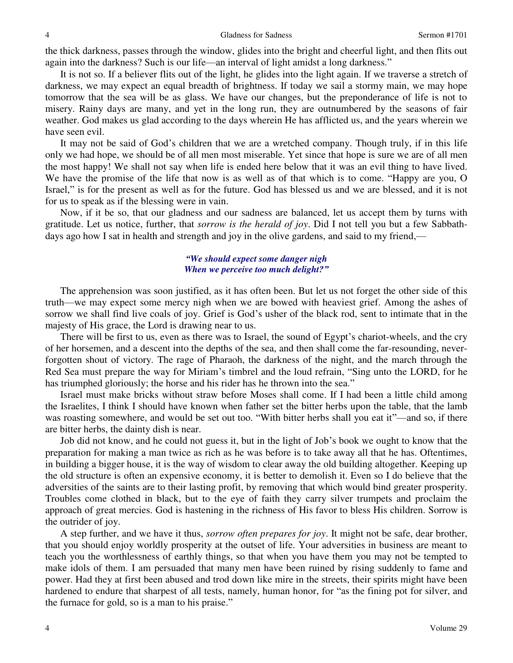the thick darkness, passes through the window, glides into the bright and cheerful light, and then flits out again into the darkness? Such is our life—an interval of light amidst a long darkness."

 It is not so. If a believer flits out of the light, he glides into the light again. If we traverse a stretch of darkness, we may expect an equal breadth of brightness. If today we sail a stormy main, we may hope tomorrow that the sea will be as glass. We have our changes, but the preponderance of life is not to misery. Rainy days are many, and yet in the long run, they are outnumbered by the seasons of fair weather. God makes us glad according to the days wherein He has afflicted us, and the years wherein we have seen evil.

 It may not be said of God's children that we are a wretched company. Though truly, if in this life only we had hope, we should be of all men most miserable. Yet since that hope is sure we are of all men the most happy! We shall not say when life is ended here below that it was an evil thing to have lived. We have the promise of the life that now is as well as of that which is to come. "Happy are you, O Israel," is for the present as well as for the future. God has blessed us and we are blessed, and it is not for us to speak as if the blessing were in vain.

 Now, if it be so, that our gladness and our sadness are balanced, let us accept them by turns with gratitude. Let us notice, further, that *sorrow is the herald of joy*. Did I not tell you but a few Sabbathdays ago how I sat in health and strength and joy in the olive gardens, and said to my friend,—

#### *"We should expect some danger nigh When we perceive too much delight?"*

 The apprehension was soon justified, as it has often been. But let us not forget the other side of this truth—we may expect some mercy nigh when we are bowed with heaviest grief. Among the ashes of sorrow we shall find live coals of joy. Grief is God's usher of the black rod, sent to intimate that in the majesty of His grace, the Lord is drawing near to us.

 There will be first to us, even as there was to Israel, the sound of Egypt's chariot-wheels, and the cry of her horsemen, and a descent into the depths of the sea, and then shall come the far-resounding, neverforgotten shout of victory. The rage of Pharaoh, the darkness of the night, and the march through the Red Sea must prepare the way for Miriam's timbrel and the loud refrain, "Sing unto the LORD, for he has triumphed gloriously; the horse and his rider has he thrown into the sea."

 Israel must make bricks without straw before Moses shall come. If I had been a little child among the Israelites, I think I should have known when father set the bitter herbs upon the table, that the lamb was roasting somewhere, and would be set out too. "With bitter herbs shall you eat it"—and so, if there are bitter herbs, the dainty dish is near.

 Job did not know, and he could not guess it, but in the light of Job's book we ought to know that the preparation for making a man twice as rich as he was before is to take away all that he has. Oftentimes, in building a bigger house, it is the way of wisdom to clear away the old building altogether. Keeping up the old structure is often an expensive economy, it is better to demolish it. Even so I do believe that the adversities of the saints are to their lasting profit, by removing that which would bind greater prosperity. Troubles come clothed in black, but to the eye of faith they carry silver trumpets and proclaim the approach of great mercies. God is hastening in the richness of His favor to bless His children. Sorrow is the outrider of joy.

 A step further, and we have it thus, *sorrow often prepares for joy*. It might not be safe, dear brother, that you should enjoy worldly prosperity at the outset of life. Your adversities in business are meant to teach you the worthlessness of earthly things, so that when you have them you may not be tempted to make idols of them. I am persuaded that many men have been ruined by rising suddenly to fame and power. Had they at first been abused and trod down like mire in the streets, their spirits might have been hardened to endure that sharpest of all tests, namely, human honor, for "as the fining pot for silver, and the furnace for gold, so is a man to his praise."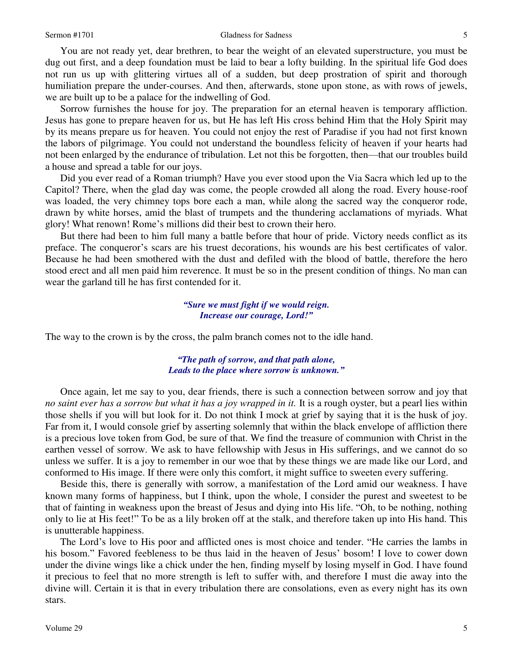#### Sermon #1701 Sermon #1701 Gladness for Sadness 5

 You are not ready yet, dear brethren, to bear the weight of an elevated superstructure, you must be dug out first, and a deep foundation must be laid to bear a lofty building. In the spiritual life God does not run us up with glittering virtues all of a sudden, but deep prostration of spirit and thorough humiliation prepare the under-courses. And then, afterwards, stone upon stone, as with rows of jewels, we are built up to be a palace for the indwelling of God.

 Sorrow furnishes the house for joy. The preparation for an eternal heaven is temporary affliction. Jesus has gone to prepare heaven for us, but He has left His cross behind Him that the Holy Spirit may by its means prepare us for heaven. You could not enjoy the rest of Paradise if you had not first known the labors of pilgrimage. You could not understand the boundless felicity of heaven if your hearts had not been enlarged by the endurance of tribulation. Let not this be forgotten, then—that our troubles build a house and spread a table for our joys.

 Did you ever read of a Roman triumph? Have you ever stood upon the Via Sacra which led up to the Capitol? There, when the glad day was come, the people crowded all along the road. Every house-roof was loaded, the very chimney tops bore each a man, while along the sacred way the conqueror rode, drawn by white horses, amid the blast of trumpets and the thundering acclamations of myriads. What glory! What renown! Rome's millions did their best to crown their hero.

 But there had been to him full many a battle before that hour of pride. Victory needs conflict as its preface. The conqueror's scars are his truest decorations, his wounds are his best certificates of valor. Because he had been smothered with the dust and defiled with the blood of battle, therefore the hero stood erect and all men paid him reverence. It must be so in the present condition of things. No man can wear the garland till he has first contended for it.

## *"Sure we must fight if we would reign. Increase our courage, Lord!"*

The way to the crown is by the cross, the palm branch comes not to the idle hand.

#### *"The path of sorrow, and that path alone, Leads to the place where sorrow is unknown."*

Once again, let me say to you, dear friends, there is such a connection between sorrow and joy that *no saint ever has a sorrow but what it has a joy wrapped in it.* It is a rough oyster, but a pearl lies within those shells if you will but look for it. Do not think I mock at grief by saying that it is the husk of joy. Far from it, I would console grief by asserting solemnly that within the black envelope of affliction there is a precious love token from God, be sure of that. We find the treasure of communion with Christ in the earthen vessel of sorrow. We ask to have fellowship with Jesus in His sufferings, and we cannot do so unless we suffer. It is a joy to remember in our woe that by these things we are made like our Lord, and conformed to His image. If there were only this comfort, it might suffice to sweeten every suffering.

 Beside this, there is generally with sorrow, a manifestation of the Lord amid our weakness. I have known many forms of happiness, but I think, upon the whole, I consider the purest and sweetest to be that of fainting in weakness upon the breast of Jesus and dying into His life. "Oh, to be nothing, nothing only to lie at His feet!" To be as a lily broken off at the stalk, and therefore taken up into His hand. This is unutterable happiness.

 The Lord's love to His poor and afflicted ones is most choice and tender. "He carries the lambs in his bosom." Favored feebleness to be thus laid in the heaven of Jesus' bosom! I love to cower down under the divine wings like a chick under the hen, finding myself by losing myself in God. I have found it precious to feel that no more strength is left to suffer with, and therefore I must die away into the divine will. Certain it is that in every tribulation there are consolations, even as every night has its own stars.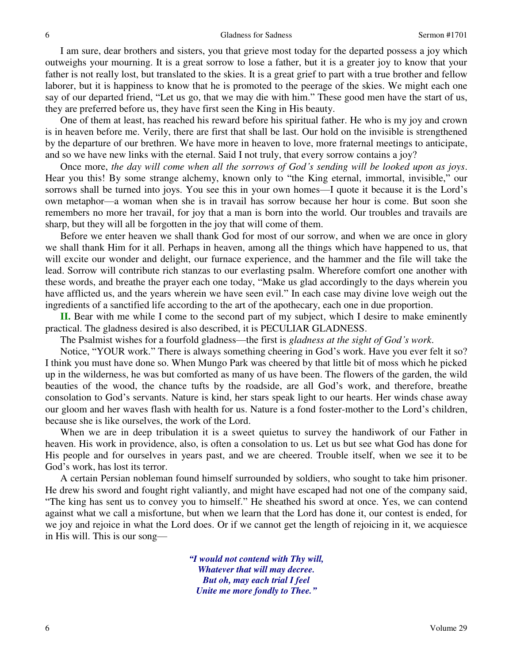I am sure, dear brothers and sisters, you that grieve most today for the departed possess a joy which outweighs your mourning. It is a great sorrow to lose a father, but it is a greater joy to know that your father is not really lost, but translated to the skies. It is a great grief to part with a true brother and fellow laborer, but it is happiness to know that he is promoted to the peerage of the skies. We might each one say of our departed friend, "Let us go, that we may die with him." These good men have the start of us, they are preferred before us, they have first seen the King in His beauty.

 One of them at least, has reached his reward before his spiritual father. He who is my joy and crown is in heaven before me. Verily, there are first that shall be last. Our hold on the invisible is strengthened by the departure of our brethren. We have more in heaven to love, more fraternal meetings to anticipate, and so we have new links with the eternal. Said I not truly, that every sorrow contains a joy?

 Once more, *the day will come when all the sorrows of God's sending will be looked upon as joys*. Hear you this! By some strange alchemy, known only to "the King eternal, immortal, invisible," our sorrows shall be turned into joys. You see this in your own homes—I quote it because it is the Lord's own metaphor—a woman when she is in travail has sorrow because her hour is come. But soon she remembers no more her travail, for joy that a man is born into the world. Our troubles and travails are sharp, but they will all be forgotten in the joy that will come of them.

 Before we enter heaven we shall thank God for most of our sorrow, and when we are once in glory we shall thank Him for it all. Perhaps in heaven, among all the things which have happened to us, that will excite our wonder and delight, our furnace experience, and the hammer and the file will take the lead. Sorrow will contribute rich stanzas to our everlasting psalm. Wherefore comfort one another with these words, and breathe the prayer each one today, "Make us glad accordingly to the days wherein you have afflicted us, and the years wherein we have seen evil." In each case may divine love weigh out the ingredients of a sanctified life according to the art of the apothecary, each one in due proportion.

**II.** Bear with me while I come to the second part of my subject, which I desire to make eminently practical. The gladness desired is also described, it is PECULIAR GLADNESS.

The Psalmist wishes for a fourfold gladness—the first is *gladness at the sight of God's work*.

 Notice, "YOUR work." There is always something cheering in God's work. Have you ever felt it so? I think you must have done so. When Mungo Park was cheered by that little bit of moss which he picked up in the wilderness, he was but comforted as many of us have been. The flowers of the garden, the wild beauties of the wood, the chance tufts by the roadside, are all God's work, and therefore, breathe consolation to God's servants. Nature is kind, her stars speak light to our hearts. Her winds chase away our gloom and her waves flash with health for us. Nature is a fond foster-mother to the Lord's children, because she is like ourselves, the work of the Lord.

 When we are in deep tribulation it is a sweet quietus to survey the handiwork of our Father in heaven. His work in providence, also, is often a consolation to us. Let us but see what God has done for His people and for ourselves in years past, and we are cheered. Trouble itself, when we see it to be God's work, has lost its terror.

 A certain Persian nobleman found himself surrounded by soldiers, who sought to take him prisoner. He drew his sword and fought right valiantly, and might have escaped had not one of the company said, "The king has sent us to convey you to himself." He sheathed his sword at once. Yes, we can contend against what we call a misfortune, but when we learn that the Lord has done it, our contest is ended, for we joy and rejoice in what the Lord does. Or if we cannot get the length of rejoicing in it, we acquiesce in His will. This is our song—

> *"I would not contend with Thy will, Whatever that will may decree. But oh, may each trial I feel Unite me more fondly to Thee."*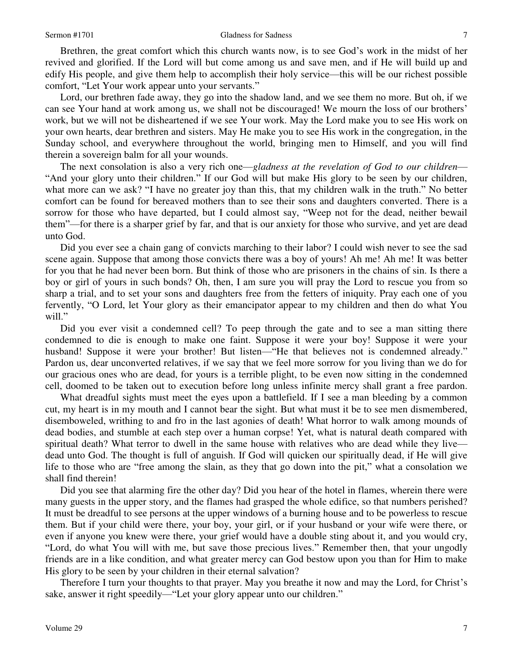Brethren, the great comfort which this church wants now, is to see God's work in the midst of her revived and glorified. If the Lord will but come among us and save men, and if He will build up and edify His people, and give them help to accomplish their holy service—this will be our richest possible comfort, "Let Your work appear unto your servants."

 Lord, our brethren fade away, they go into the shadow land, and we see them no more. But oh, if we can see Your hand at work among us, we shall not be discouraged! We mourn the loss of our brothers' work, but we will not be disheartened if we see Your work. May the Lord make you to see His work on your own hearts, dear brethren and sisters. May He make you to see His work in the congregation, in the Sunday school, and everywhere throughout the world, bringing men to Himself, and you will find therein a sovereign balm for all your wounds.

 The next consolation is also a very rich one—*gladness at the revelation of God to our children*— "And your glory unto their children." If our God will but make His glory to be seen by our children, what more can we ask? "I have no greater joy than this, that my children walk in the truth." No better comfort can be found for bereaved mothers than to see their sons and daughters converted. There is a sorrow for those who have departed, but I could almost say, "Weep not for the dead, neither bewail them"—for there is a sharper grief by far, and that is our anxiety for those who survive, and yet are dead unto God.

 Did you ever see a chain gang of convicts marching to their labor? I could wish never to see the sad scene again. Suppose that among those convicts there was a boy of yours! Ah me! Ah me! It was better for you that he had never been born. But think of those who are prisoners in the chains of sin. Is there a boy or girl of yours in such bonds? Oh, then, I am sure you will pray the Lord to rescue you from so sharp a trial, and to set your sons and daughters free from the fetters of iniquity. Pray each one of you fervently, "O Lord, let Your glory as their emancipator appear to my children and then do what You will."

Did you ever visit a condemned cell? To peep through the gate and to see a man sitting there condemned to die is enough to make one faint. Suppose it were your boy! Suppose it were your husband! Suppose it were your brother! But listen—"He that believes not is condemned already." Pardon us, dear unconverted relatives, if we say that we feel more sorrow for you living than we do for our gracious ones who are dead, for yours is a terrible plight, to be even now sitting in the condemned cell, doomed to be taken out to execution before long unless infinite mercy shall grant a free pardon.

What dreadful sights must meet the eyes upon a battlefield. If I see a man bleeding by a common cut, my heart is in my mouth and I cannot bear the sight. But what must it be to see men dismembered, disemboweled, writhing to and fro in the last agonies of death! What horror to walk among mounds of dead bodies, and stumble at each step over a human corpse! Yet, what is natural death compared with spiritual death? What terror to dwell in the same house with relatives who are dead while they live dead unto God. The thought is full of anguish. If God will quicken our spiritually dead, if He will give life to those who are "free among the slain, as they that go down into the pit," what a consolation we shall find therein!

Did you see that alarming fire the other day? Did you hear of the hotel in flames, wherein there were many guests in the upper story, and the flames had grasped the whole edifice, so that numbers perished? It must be dreadful to see persons at the upper windows of a burning house and to be powerless to rescue them. But if your child were there, your boy, your girl, or if your husband or your wife were there, or even if anyone you knew were there, your grief would have a double sting about it, and you would cry, "Lord, do what You will with me, but save those precious lives." Remember then, that your ungodly friends are in a like condition, and what greater mercy can God bestow upon you than for Him to make His glory to be seen by your children in their eternal salvation?

 Therefore I turn your thoughts to that prayer. May you breathe it now and may the Lord, for Christ's sake, answer it right speedily—"Let your glory appear unto our children."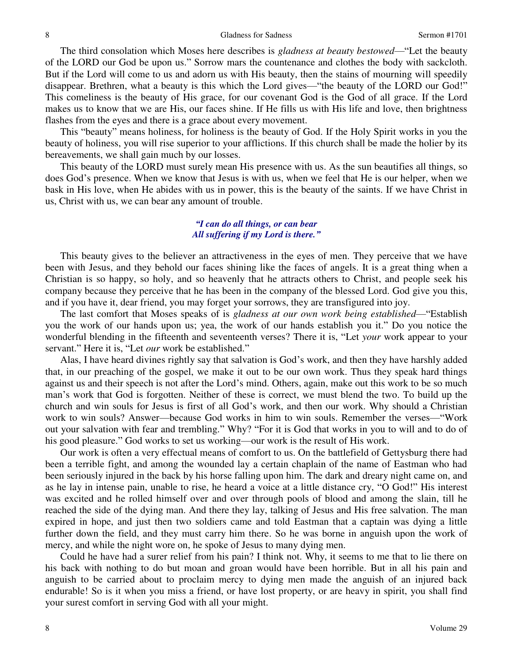The third consolation which Moses here describes is *gladness at beauty bestowed*—"Let the beauty of the LORD our God be upon us." Sorrow mars the countenance and clothes the body with sackcloth. But if the Lord will come to us and adorn us with His beauty, then the stains of mourning will speedily disappear. Brethren, what a beauty is this which the Lord gives—"the beauty of the LORD our God!" This comeliness is the beauty of His grace, for our covenant God is the God of all grace. If the Lord makes us to know that we are His, our faces shine. If He fills us with His life and love, then brightness flashes from the eyes and there is a grace about every movement.

 This "beauty" means holiness, for holiness is the beauty of God. If the Holy Spirit works in you the beauty of holiness, you will rise superior to your afflictions. If this church shall be made the holier by its bereavements, we shall gain much by our losses.

 This beauty of the LORD must surely mean His presence with us. As the sun beautifies all things, so does God's presence. When we know that Jesus is with us, when we feel that He is our helper, when we bask in His love, when He abides with us in power, this is the beauty of the saints. If we have Christ in us, Christ with us, we can bear any amount of trouble.

#### *"I can do all things, or can bear All suffering if my Lord is there."*

 This beauty gives to the believer an attractiveness in the eyes of men. They perceive that we have been with Jesus, and they behold our faces shining like the faces of angels. It is a great thing when a Christian is so happy, so holy, and so heavenly that he attracts others to Christ, and people seek his company because they perceive that he has been in the company of the blessed Lord. God give you this, and if you have it, dear friend, you may forget your sorrows, they are transfigured into joy.

 The last comfort that Moses speaks of is *gladness at our own work being established*—"Establish you the work of our hands upon us; yea, the work of our hands establish you it." Do you notice the wonderful blending in the fifteenth and seventeenth verses? There it is, "Let *your* work appear to your servant." Here it is, "Let *our* work be established."

 Alas, I have heard divines rightly say that salvation is God's work, and then they have harshly added that, in our preaching of the gospel, we make it out to be our own work. Thus they speak hard things against us and their speech is not after the Lord's mind. Others, again, make out this work to be so much man's work that God is forgotten. Neither of these is correct, we must blend the two. To build up the church and win souls for Jesus is first of all God's work, and then our work. Why should a Christian work to win souls? Answer—because God works in him to win souls. Remember the verses—"Work out your salvation with fear and trembling." Why? "For it is God that works in you to will and to do of his good pleasure." God works to set us working—our work is the result of His work.

 Our work is often a very effectual means of comfort to us. On the battlefield of Gettysburg there had been a terrible fight, and among the wounded lay a certain chaplain of the name of Eastman who had been seriously injured in the back by his horse falling upon him. The dark and dreary night came on, and as he lay in intense pain, unable to rise, he heard a voice at a little distance cry, "O God!" His interest was excited and he rolled himself over and over through pools of blood and among the slain, till he reached the side of the dying man. And there they lay, talking of Jesus and His free salvation. The man expired in hope, and just then two soldiers came and told Eastman that a captain was dying a little further down the field, and they must carry him there. So he was borne in anguish upon the work of mercy, and while the night wore on, he spoke of Jesus to many dying men.

 Could he have had a surer relief from his pain? I think not. Why, it seems to me that to lie there on his back with nothing to do but moan and groan would have been horrible. But in all his pain and anguish to be carried about to proclaim mercy to dying men made the anguish of an injured back endurable! So is it when you miss a friend, or have lost property, or are heavy in spirit, you shall find your surest comfort in serving God with all your might.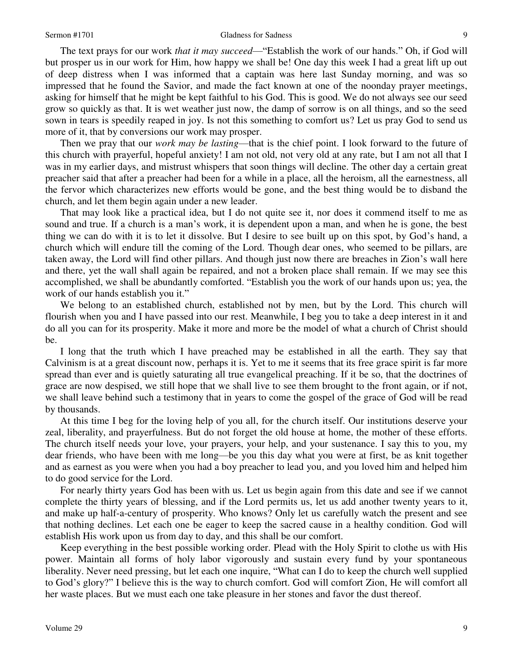#### Sermon #1701 Gladness for Sadness 9

 The text prays for our work *that it may succeed*—"Establish the work of our hands." Oh, if God will but prosper us in our work for Him, how happy we shall be! One day this week I had a great lift up out of deep distress when I was informed that a captain was here last Sunday morning, and was so impressed that he found the Savior, and made the fact known at one of the noonday prayer meetings, asking for himself that he might be kept faithful to his God. This is good. We do not always see our seed grow so quickly as that. It is wet weather just now, the damp of sorrow is on all things, and so the seed sown in tears is speedily reaped in joy. Is not this something to comfort us? Let us pray God to send us more of it, that by conversions our work may prosper.

 Then we pray that our *work may be lasting*—that is the chief point. I look forward to the future of this church with prayerful, hopeful anxiety! I am not old, not very old at any rate, but I am not all that I was in my earlier days, and mistrust whispers that soon things will decline. The other day a certain great preacher said that after a preacher had been for a while in a place, all the heroism, all the earnestness, all the fervor which characterizes new efforts would be gone, and the best thing would be to disband the church, and let them begin again under a new leader.

 That may look like a practical idea, but I do not quite see it, nor does it commend itself to me as sound and true. If a church is a man's work, it is dependent upon a man, and when he is gone, the best thing we can do with it is to let it dissolve. But I desire to see built up on this spot, by God's hand, a church which will endure till the coming of the Lord. Though dear ones, who seemed to be pillars, are taken away, the Lord will find other pillars. And though just now there are breaches in Zion's wall here and there, yet the wall shall again be repaired, and not a broken place shall remain. If we may see this accomplished, we shall be abundantly comforted. "Establish you the work of our hands upon us; yea, the work of our hands establish you it."

 We belong to an established church, established not by men, but by the Lord. This church will flourish when you and I have passed into our rest. Meanwhile, I beg you to take a deep interest in it and do all you can for its prosperity. Make it more and more be the model of what a church of Christ should be.

 I long that the truth which I have preached may be established in all the earth. They say that Calvinism is at a great discount now, perhaps it is. Yet to me it seems that its free grace spirit is far more spread than ever and is quietly saturating all true evangelical preaching. If it be so, that the doctrines of grace are now despised, we still hope that we shall live to see them brought to the front again, or if not, we shall leave behind such a testimony that in years to come the gospel of the grace of God will be read by thousands.

 At this time I beg for the loving help of you all, for the church itself. Our institutions deserve your zeal, liberality, and prayerfulness. But do not forget the old house at home, the mother of these efforts. The church itself needs your love, your prayers, your help, and your sustenance. I say this to you, my dear friends, who have been with me long—be you this day what you were at first, be as knit together and as earnest as you were when you had a boy preacher to lead you, and you loved him and helped him to do good service for the Lord.

 For nearly thirty years God has been with us. Let us begin again from this date and see if we cannot complete the thirty years of blessing, and if the Lord permits us, let us add another twenty years to it, and make up half-a-century of prosperity. Who knows? Only let us carefully watch the present and see that nothing declines. Let each one be eager to keep the sacred cause in a healthy condition. God will establish His work upon us from day to day, and this shall be our comfort.

 Keep everything in the best possible working order. Plead with the Holy Spirit to clothe us with His power. Maintain all forms of holy labor vigorously and sustain every fund by your spontaneous liberality. Never need pressing, but let each one inquire, "What can I do to keep the church well supplied to God's glory?" I believe this is the way to church comfort. God will comfort Zion, He will comfort all her waste places. But we must each one take pleasure in her stones and favor the dust thereof.